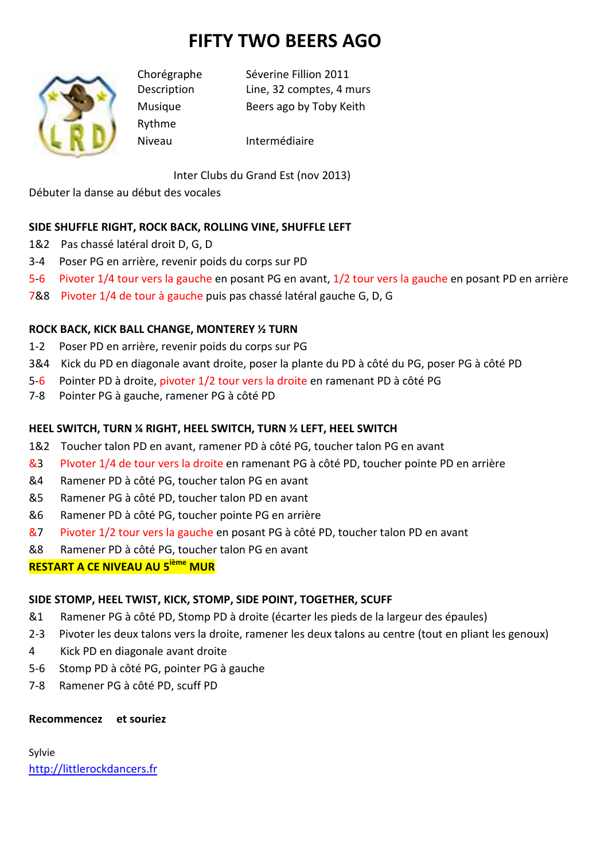# **FIFTY TWO BEERS AGO**



Rythme

Chorégraphe Séverine Fillion 2011 Description Line, 32 comptes, 4 murs Musique Beers ago by Toby Keith

Niveau Intermédiaire

Inter Clubs du Grand Est (nov 2013)

Débuter la danse au début des vocales

## **SIDE SHUFFLE RIGHT, ROCK BACK, ROLLING VINE, SHUFFLE LEFT**

- 1&2 Pas chassé latéral droit D, G, D
- 3-4 Poser PG en arrière, revenir poids du corps sur PD
- 5-6 Pivoter 1/4 tour vers la gauche en posant PG en avant, 1/2 tour vers la gauche en posant PD en arrière
- 7&8 Pivoter 1/4 de tour à gauche puis pas chassé latéral gauche G, D, G

## **ROCK BACK, KICK BALL CHANGE, MONTEREY ½ TURN**

- 1-2 Poser PD en arrière, revenir poids du corps sur PG
- 3&4 Kick du PD en diagonale avant droite, poser la plante du PD à côté du PG, poser PG à côté PD
- 5-6 Pointer PD à droite, pivoter 1/2 tour vers la droite en ramenant PD à côté PG
- 7-8 Pointer PG à gauche, ramener PG à côté PD

## **HEEL SWITCH, TURN ¼ RIGHT, HEEL SWITCH, TURN ½ LEFT, HEEL SWITCH**

- 1&2 Toucher talon PD en avant, ramener PD à côté PG, toucher talon PG en avant
- &3 PIvoter 1/4 de tour vers la droite en ramenant PG à côté PD, toucher pointe PD en arrière
- &4 Ramener PD à côté PG, toucher talon PG en avant
- &5 Ramener PG à côté PD, toucher talon PD en avant
- &6 Ramener PD à côté PG, toucher pointe PG en arrière
- &7 Pivoter 1/2 tour vers la gauche en posant PG à côté PD, toucher talon PD en avant
- &8 Ramener PD à côté PG, toucher talon PG en avant

## **RESTART A CE NIVEAU AU 5ième MUR**

### **SIDE STOMP, HEEL TWIST, KICK, STOMP, SIDE POINT, TOGETHER, SCUFF**

- &1 Ramener PG à côté PD, Stomp PD à droite (écarter les pieds de la largeur des épaules)
- 2-3 Pivoter les deux talons vers la droite, ramener les deux talons au centre (tout en pliant les genoux)
- 4 Kick PD en diagonale avant droite
- 5-6 Stomp PD à côté PG, pointer PG à gauche
- 7-8 Ramener PG à côté PD, scuff PD

### **Recommencez et souriez**

Sylvie http://littlerockdancers.fr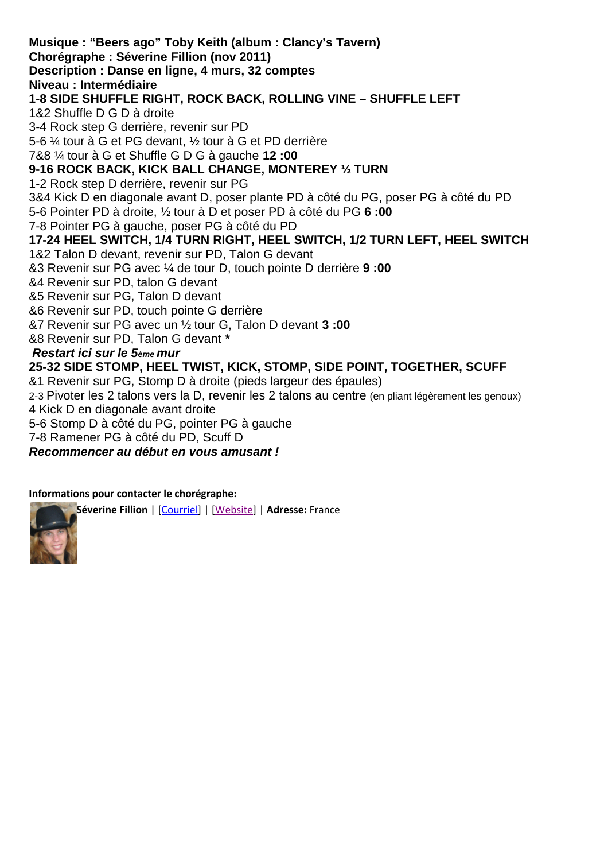**Musique : "Beers ago" Toby Keith (album : Clancy's Tavern) Chorégraphe : Séverine Fillion (nov 2011) Description : Danse en ligne, 4 murs, 32 comptes Niveau : Intermédiaire 1-8 SIDE SHUFFLE RIGHT, ROCK BACK, ROLLING VINE – SHUFFLE LEFT**  1&2 Shuffle D G D à droite 3-4 Rock step G derrière, revenir sur PD 5-6 ¼ tour à G et PG devant, ½ tour à G et PD derrière 7&8 ¼ tour à G et Shuffle G D G à gauche **12 :00 9-16 ROCK BACK, KICK BALL CHANGE, MONTEREY ½ TURN**  1-2 Rock step D derrière, revenir sur PG 3&4 Kick D en diagonale avant D, poser plante PD à côté du PG, poser PG à côté du PD 5-6 Pointer PD à droite, ½ tour à D et poser PD à côté du PG **6 :00**  7-8 Pointer PG à gauche, poser PG à côté du PD **17-24 HEEL SWITCH, 1/4 TURN RIGHT, HEEL SWITCH, 1/2 TURN LEFT, HEEL SWITCH**  1&2 Talon D devant, revenir sur PD, Talon G devant &3 Revenir sur PG avec ¼ de tour D, touch pointe D derrière **9 :00**  &4 Revenir sur PD, talon G devant &5 Revenir sur PG, Talon D devant &6 Revenir sur PD, touch pointe G derrière &7 Revenir sur PG avec un ½ tour G, Talon D devant **3 :00**  &8 Revenir sur PD, Talon G devant **\* Restart ici sur le 5ème mur 25-32 SIDE STOMP, HEEL TWIST, KICK, STOMP, SIDE POINT, TOGETHER, SCUFF**  &1 Revenir sur PG, Stomp D à droite (pieds largeur des épaules) 2-3 Pivoter les 2 talons vers la D, revenir les 2 talons au centre (en pliant légèrement les genoux) 4 Kick D en diagonale avant droite

5-6 Stomp D à côté du PG, pointer PG à gauche

7-8 Ramener PG à côté du PD, Scuff D

**Recommencer au début en vous amusant !**

### **Informations pour contacter le chorégraphe:**

**Séverine Fillion** | [Courriel] | [Website] | **Adresse:** France